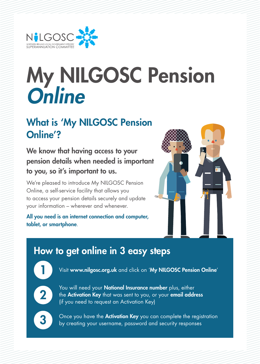

# My NILGOSC Pension *Online*

#### What is 'My NILGOSC Pension Online'?

We know that having access to your pension details when needed is important to you, so it's important to us.

We're pleased to introduce My NILGOSC Pension Online, a self-service facility that allows you to access your pension details securely and update your information – wherever and whenever.

All you need is an internet connection and computer, tablet, or smartphone.



### How to get online in 3 easy steps

Visit www.nilgosc.org.uk and click on 'My NILGOSC Pension Online'



You will need your **National Insurance number** plus, either<br>the **Activation Key** that was sent to you, or your **email address**<br>the sequent of a detication Keyl (if you need to request an Activation Key)



3 Once you have the **Activation Key** you can complete the registration<br>by creating your username, password and security responses by creating your username, password and security responses